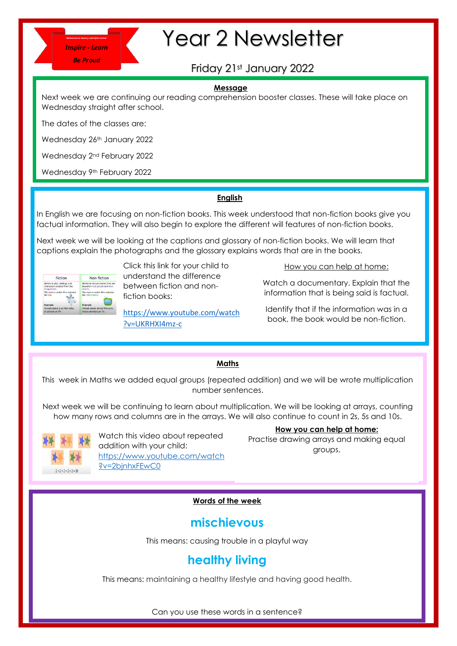

# Year 2 Newsletter

# Friday 21st January 2022

#### **Message**

Next week we are continuing our reading comprehension booster classes. These will take place on Wednesday straight after school.

The dates of the classes are:

Wednesday 26<sup>th</sup> January 2022

Wednesday 2nd February 2022

Wednesday 9<sup>th</sup> February 2022

## **English**

In English we are focusing on non-fiction books. This week understood that non-fiction books give you factual information. They will also begin to explore the different will features of non-fiction books.

Next week we will be looking at the captions and glossary of non-fiction books. We will learn that captions explain the photographs and the glossary explains words that are in the books.

| Fiction                                                                     | Non-fiction                                                                     |
|-----------------------------------------------------------------------------|---------------------------------------------------------------------------------|
| Refers to plot, settings and<br>characters created from the<br>imagination. | Refers to factual stories that are<br>based on real people and true.<br>events. |
| We read or watch this material<br>for fun                                   | We read or watch this material<br>for information.                              |
| <b>Example:</b>                                                             | Example:                                                                        |
| A book about a cat that talks.                                              | A book about animal life cycle.                                                 |
| A cartoon on TV.                                                            | A documentary on TV.                                                            |

Click this link for your child to understand the difference between fiction and nonfiction books:

[https://www.youtube.com/watch](https://www.youtube.com/watch?v=UKRHXI4mz-c) [?v=UKRHXI4mz-c](https://www.youtube.com/watch?v=UKRHXI4mz-c)

How you can help at home:

Watch a documentary. Explain that the information that is being said is factual.

Identify that if the information was in a book, the book would be non-fiction.

## **Maths**

This week in Maths we added equal groups (repeated addition) and we will be wrote multiplication number sentences.

Next week we will be continuing to learn about multiplication. We will be looking at arrays, counting how many rows and columns are in the arrays. We will also continue to count in 2s, 5s and 10s.



Watch this video about repeated addition with your child: [https://www.youtube.com/watch](https://www.youtube.com/watch?v=2bjnhxFEwC0) [?v=2bjnhxFEwC0](https://www.youtube.com/watch?v=2bjnhxFEwC0)

**How you can help at home:**

Practise drawing arrays and making equal groups.

## **Words of the week**

# **mischievous**

This means: causing trouble in a playful way

# **healthy living**

This means: maintaining a healthy lifestyle and having good health.

Can you use these words in a sentence?